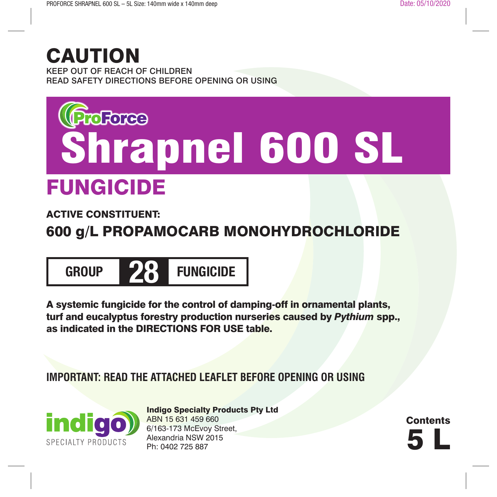## CAUTION

KEEP OUT OF REACH OF CHILDREN READ SAFETY DIRECTIONS BEFORE OPENING OR USING

# FUNGICIDE **Shrapnel 600 SL**

### ACTIVE CONSTITUENT:

### 600 g/L PROPAMOCARB MONOHYDROCHLORIDE



A systemic fungicide for the control of damping-off in ornamental plants, turf and eucalyptus forestry production nurseries caused by *Pythium* spp., as indicated in the DIRECTIONS FOR USE table.

**IMPORTANT: READ THE ATTACHED LEAFLET BEFORE OPENING OR USING**



Indigo Specialty Products Pty Ltd ABN 15 631 459 660 6/163-173 McEvoy Street, Alexandria NSW 2015<br>Ph: 0402 725 887 6/163-173 McLvoy Street,<br>Alexandria NSW 2015<br>Ph: 0402 725 887

**Contents**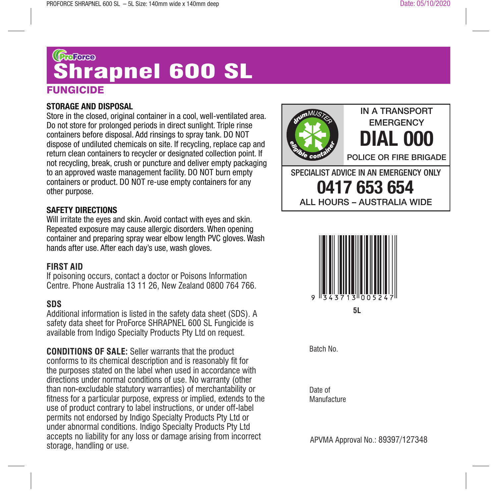## **FUNGICIDE** ©ை<br>Shrapnel 60<u>0 SL</u>

#### **STORAGE AND DISPOSAL**

Store in the closed, original container in a cool, well-ventilated area. Do not store for prolonged periods in direct sunlight. Triple rinse containers before disposal. Add rinsings to spray tank. DO NOT dispose of undiluted chemicals on site. If recycling, replace cap and return clean containers to recycler or designated collection point. If not recycling, break, crush or puncture and deliver empty packaging to an approved waste management facility. DO NOT burn empty containers or product. DO NOT re-use empty containers for any other purpose.

#### **SAFETY DIRECTIONS**

Will irritate the eyes and skin. Avoid contact with eyes and skin. Repeated exposure may cause allergic disorders. When opening container and preparing spray wear elbow length PVC gloves. Wash hands after use. After each day's use, wash gloves.

#### **FIRST AID**

If poisoning occurs, contact a doctor or Poisons Information Centre. Phone Australia 13 11 26, New Zealand 0800 764 766.

#### **SDS**

Additional information is listed in the safety data sheet (SDS). A safety data sheet for ProForce SHRAPNEL 600 SL Fungicide is available from Indigo Specialty Products Pty Ltd on request.

**CONDITIONS OF SALE:** Seller warrants that the product conforms to its chemical description and is reasonably fit for the purposes stated on the label when used in accordance with directions under normal conditions of use. No warranty (other than non-excludable statutory warranties) of merchantability or fitness for a particular purpose, express or implied, extends to the use of product contrary to label instructions, or under off-label permits not endorsed by Indigo Specialty Products Pty Ltd or under abnormal conditions. Indigo Specialty Products Pty Ltd accepts no liability for any loss or damage arising from incorrect storage, handling or use.





Batch No.

Date of **Manufacture** 

APVMA Approval No.: 89397/127348